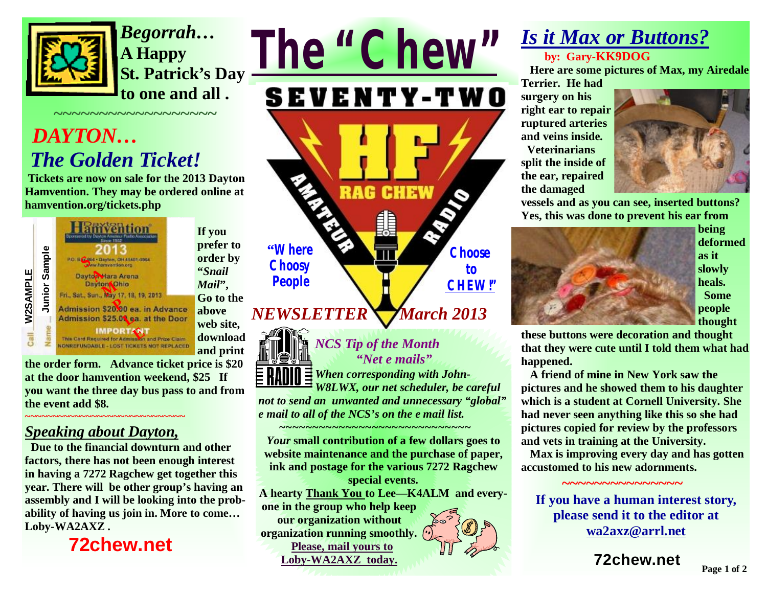

*Begorrah…*  **A Happy St. Patrick's Day to one and all .** 

# *DAYTON… The Golden Ticket!*

**Tickets are now on sale for the 2013 Dayton Hamvention. They may be ordered online at hamvention.org/tickets.php** 

**~~~~~~~~~~~~~~~~~~** 



**If you prefer to order by "***Snail Mail***", Go to the above web site, download and print** 

**the order form. Advance ticket price is \$20 at the door hamvention weekend, \$25 If you want the three day bus pass to and from the event add \$8.** 

#### *Speaking about Dayton,*

**~~~~~~~~~~~~~~~~~~~~~~~~~~~~~** 

 **Due to the financial downturn and other factors, there has not been enough interest in having a 7272 Ragchew get together this year. There will be other group's having an assembly and I will be looking into the probability of having us join in. More to come… Loby-WA2AXZ .** 

 **72chew.net**



# *NEWSLETTER*  *March 2013*



*NCS Tip of the Month "Net e mails" When corresponding with John-*

*W8LWX, our net scheduler, be careful not to send an unwanted and unnecessary "global" e mail to all of the NCS's on the e mail list.* 

*~~~~~~~~~~~~~~~~~~~~~~~~~~~~~ Your* **small contribution of a few dollars goes to website maintenance and the purchase of paper, ink and postage for the various 7272 Ragchew** 

**special events. A hearty Thank You to Lee—K4ALM and everyone in the group who help keep our organization without organization running smoothly. Please, mail yours to Loby-WA2AXZ today.** 

### *Is it Max or Buttons?*  **by: Gary-KK9DOG**

 **Here are some pictures of Max, my Airedale Terrier. He had** 

**surgery on his right ear to repair ruptured arteries and veins inside. Veterinarians split the inside of the ear, repaired the damaged** 



**vessels and as you can see, inserted buttons? Yes, this was done to prevent his ear from** 



**being deformed as it slowly heals. Some people thought** 

**these buttons were decoration and thought that they were cute until I told them what had happened.** 

**A friend of mine in New York saw the pictures and he showed them to his daughter which is a student at Cornell University. She had never seen anything like this so she had pictures copied for review by the professors and vets in training at the University.** 

**Max is improving every day and has gotten accustomed to his new adornments.** 

 **~~~~~~~~~~~~~~~** 

**If you have a human interest story, please send it to the editor at [wa2axz@arrl.net](mailto:wa2axz@arrl.net)**

**72chew.net**